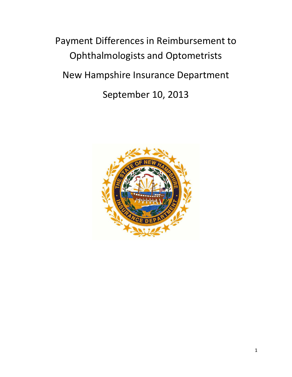Payment Differences in Reimbursement to Ophthalmologists and Optometrists New Hampshire Insurance Department September 10, 2013

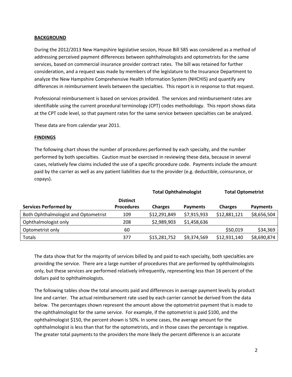#### **BACKGROUND**

During the 2012/2013 New Hampshire legislative session, House Bill 585 was considered as a method of addressing perceived payment differences between ophthalmologists and optometrists for the same services, based on commercial insurance provider contract rates. The bill was retained for further consideration, and a request was made by members of the legislature to the Insurance Department to analyze the New Hampshire Comprehensive Health Information System (NHCHIS) and quantify any differences in reimbursement levels between the specialties. This report is in response to that request.

Professional reimbursement is based on services provided. The services and reimbursement rates are identifiable using the current procedural terminology (CPT) codes methodology. This report shows data at the CPT code level, so that payment rates for the same service between specialties can be analyzed.

These data are from calendar year 2011.

#### **FINDINGS**

The following chart shows the number of procedures performed by each specialty, and the number performed by both specialties. Caution must be exercised in reviewing these data, because in several cases, relatively few claims included the use of a specific procedure code. Payments include the amount paid by the carrier as well as any patient liabilities due to the provider (e.g. deductible, coinsurance, or copays).

|                                      |                   | Total Ophthalmologist |                 | Total Optometrist |                 |
|--------------------------------------|-------------------|-----------------------|-----------------|-------------------|-----------------|
|                                      | <b>Distinct</b>   |                       |                 |                   |                 |
| <b>Services Performed by</b>         | <b>Procedures</b> | <b>Charges</b>        | <b>Payments</b> | <b>Charges</b>    | <b>Payments</b> |
| Both Ophthalmologist and Optometrist | 109               | \$12,291,849          | \$7,915,933     | \$12,881,121      | \$8,656,504     |
| Ophthalmologist only                 | 208               | \$2,989,903           | \$1,458,636     |                   |                 |
| Optometrist only                     | 60                |                       |                 | \$50,019          | \$34,369        |
| Totals                               | 377               | \$15,281,752          | \$9,374,569     | \$12,931,140      | \$8,690,874     |

**Total Ophthalmologist Total Optometrist**

The data show that for the majority of services billed by and paid to each specialty, both specialties are providing the service. There are a large number of procedures that are performed by ophthalmologists only, but these services are performed relatively infrequently, representing less than 16 percent of the dollars paid to ophthalmologists.

The following tables show the total amounts paid and differences in average payment levels by product line and carrier. The actual reimbursement rate used by each carrier cannot be derived from the data below. The percentages shown represent the amount above the optometrist payment that is made to the ophthalmologist for the same service. For example, if the optometrist is paid \$100, and the ophthalmologist \$150, the percent shown is 50%. In some cases, the average amount for the ophthalmologist is less than that for the optometrists, and in those cases the percentage is negative. The greater total payments to the providers the more likely the percent difference is an accurate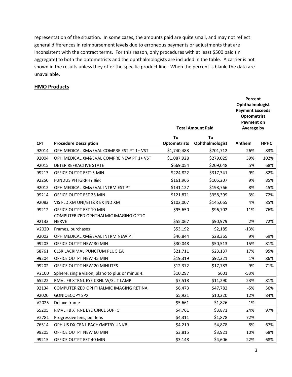representation of the situation. In some cases, the amounts paid are quite small, and may not reflect general differences in reimbursement levels due to erroneous payments or adjustments that are inconsistent with the contract terms. For this reason, only procedures with at least \$500 paid (in aggregate) to both the optometrists and the ophthalmologists are included in the table. A carrier is not shown in the results unless they offer the specific product line. When the percent is blank, the data are unavailable.

#### **HMO Products**

|            |                                                       | <b>Total Amount Paid</b> | Percent<br><b>Ophthalmologist</b><br><b>Payment Exceeds</b><br>Optometrist<br><b>Payment on</b><br>Average by |        |             |
|------------|-------------------------------------------------------|--------------------------|---------------------------------------------------------------------------------------------------------------|--------|-------------|
|            |                                                       | To                       | To                                                                                                            |        |             |
| <b>CPT</b> | <b>Procedure Description</b>                          | <b>Optometrists</b>      | Ophthalmologist                                                                                               | Anthem | <b>HPHC</b> |
| 92014      | OPH MEDICAL XM&EVAL COMPRE EST PT 1+ VST              | \$1,740,488              | \$701,712                                                                                                     | 26%    | 83%         |
| 92004      | OPH MEDICAL XM&EVAL COMPRE NEW PT 1+ VST              | \$1,087,928              | \$279,025                                                                                                     | 39%    | 102%        |
| 92015      | DETER REFRACTIVE STATE                                | \$669,054                | \$209,048                                                                                                     | 5%     | 68%         |
| 99213      | OFFICE OUTPT EST15 MIN                                | \$224,822                | \$317,341                                                                                                     | 9%     | 82%         |
| 92250      | <b>FUNDUS PHTGRPHY I&amp;R</b>                        | \$161,965                | \$105,207                                                                                                     | 9%     | 85%         |
| 92012      | OPH MEDICAL XM&EVAL INTRM EST PT                      | \$141,127                | \$198,766                                                                                                     | 8%     | 45%         |
| 99214      | OFFICE OUTPT EST 25 MIN                               | \$121,871                | \$358,399                                                                                                     | 3%     | 72%         |
| 92083      | VIS FLD XM UNI/BI I&R EXTND XM                        | \$102,007                | \$145,065                                                                                                     | 4%     | 85%         |
| 99212      | OFFICE OUTPT EST 10 MIN                               | \$95,650                 | \$96,702                                                                                                      | 11%    | 76%         |
| 92133      | COMPUTERIZED OPHTHALMIC IMAGING OPTIC<br><b>NERVE</b> | \$55,067                 | \$90,979                                                                                                      | 2%     | 72%         |
| V2020      | Frames, purchases                                     | \$53,192                 | \$2,185                                                                                                       | $-13%$ |             |
| 92002      | OPH MEDICAL XM&EVAL INTRM NEW PT                      | \$46,844                 | \$28,365                                                                                                      | 9%     | 69%         |
| 99203      | OFFICE OUTPT NEW 30 MIN                               | \$30,048                 | \$50,513                                                                                                      | 15%    | 81%         |
| 68761      | CLSR LACRIMAL PUNCTUM PLUG EA                         | \$21,711                 | \$23,137                                                                                                      | 17%    | 95%         |
| 99204      | OFFICE OUTPT NEW 45 MIN                               | \$19,319                 | \$92,321                                                                                                      | 1%     | 86%         |
| 99202      | OFFICE OUTPT NEW 20 MINUTES                           | \$12,372                 | \$17,783                                                                                                      | 9%     | 71%         |
| V2100      | Sphere, single vision, plano to plus or minus 4.      | \$10,297                 | \$601                                                                                                         | $-53%$ |             |
| 65222      | RMVL FB XTRNL EYE CRNL W/SLIT LAMP                    | \$7,518                  | \$11,290                                                                                                      | 23%    | 81%         |
| 92134      | COMPUTERIZED OPHTHALMIC IMAGING RETINA                | \$6,473                  | \$47,782                                                                                                      | -5%    | 56%         |
| 92020      | <b>GONIOSCOPY SPX</b>                                 | \$5,921                  | \$10,220                                                                                                      | 12%    | 84%         |
| V2025      | Deluxe frame                                          | \$5,661                  | \$1,826                                                                                                       | 1%     |             |
| 65205      | RMVL FB XTRNL EYE CJNCL SUPFC                         | \$4,761                  | \$3,871                                                                                                       | 24%    | 97%         |
| V2781      | Progressive lens, per lens                            | \$4,311                  | \$1,878                                                                                                       | 72%    |             |
| 76514      | OPH US DX CRNL PACHYMETRY UNI/BI                      | \$4,219                  | \$4,878                                                                                                       | 8%     | 67%         |
| 99205      | OFFICE OUTPT NEW 60 MIN                               | \$3,815                  | \$3,921                                                                                                       | 10%    | 68%         |
| 99215      | OFFICE OUTPT EST 40 MIN                               | \$3,148                  | \$4,606                                                                                                       | 22%    | 68%         |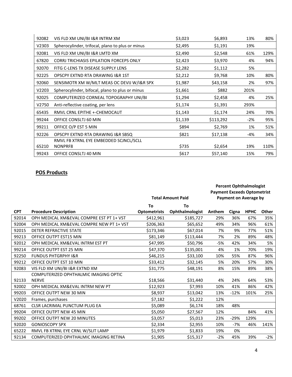| 92082 | VIS FLD XM UNI/BI I&R INTRM XM                   | \$3,023 | \$6,893   | 13%   | 80%  |
|-------|--------------------------------------------------|---------|-----------|-------|------|
| V2303 | Spherocylinder, trifocal, plano to plus or minus | \$2,495 | \$1,191   | 19%   |      |
| 92081 | VIS FLD XM UNI/BI I&R LMTD XM                    | \$2,490 | \$2,548   | 61%   | 129% |
| 67820 | <b>CORRJ TRICHIASIS EPILATION FORCEPS ONLY</b>   | \$2,423 | \$3,970   | 4%    | 94%  |
| 92070 | FITG C-LENS TX DISEASE SUPPLY LENS               | \$2,282 | \$1,112   | 5%    |      |
| 92225 | OPSCPY EXTND RTA DRAWING I&R 1ST                 | \$2,212 | \$9,768   | 10%   | 80%  |
| 92060 | SENSIMOTR XM W/MLT MEAS OC DEVIJ W/I&R SPX       | \$1,987 | \$43,158  | 2%    | 97%  |
| V2203 | Spherocylinder, bifocal, plano to plus or minus  | \$1,661 | \$882     | 201%  |      |
| 92025 | COMPUTERIZED CORNEAL TOPOGRAPHY UNI/BI           | \$1,294 | \$2,458   | 4%    | 25%  |
| V2750 | Anti-reflective coating, per lens                | \$1,174 | \$1,391   | 293%  |      |
| 65435 | RMVL CRNL EPITHE +-CHEMOCAUT                     | \$1,143 | \$1,174   | 24%   | 70%  |
| 99244 | OFFICE CONSLTJ 60 MIN                            | \$1,139 | \$113,292 | $-2%$ | 95%  |
| 99211 | OFFICE O/P EST 5 MIN                             | \$894   | \$2,769   | 1%    | 51%  |
| 92226 | OPSCPY EXTND RTA DRAWING I&R SBSQ                | \$821   | \$17,138  | -4%   | 34%  |
|       | RMVL FB XTRNL EYE EMBEDDED SCJNCL/SCLL           |         |           |       |      |
| 65210 | NONPRF8                                          | \$735   | \$2,654   | 19%   | 110% |
| 99243 | OFFICE CONSLTJ 40 MIN                            | \$617   | \$57,140  | 15%   | 79%  |

# **POS Products**

|            |                                          |                     |                          | <b>Percent Ophthalmologist</b>                                     |        |             |       |
|------------|------------------------------------------|---------------------|--------------------------|--------------------------------------------------------------------|--------|-------------|-------|
|            |                                          |                     | <b>Total Amount Paid</b> | <b>Payment Exceeds Optometrist</b><br><b>Payment on Average by</b> |        |             |       |
|            |                                          | To<br>To            |                          |                                                                    |        |             |       |
| <b>CPT</b> | <b>Procedure Description</b>             | <b>Optometrists</b> | Ophthalmologist          | Anthem                                                             | Cigna  | <b>HPHC</b> | Other |
| 92014      | OPH MEDICAL XM&EVAL COMPRE EST PT 1+ VST | \$412,961           | \$185,727                | 29%                                                                | 36%    | 67%         | 35%   |
| 92004      | OPH MEDICAL XM&EVAL COMPRE NEW PT 1+ VST | \$206,363           | \$65,652                 | 49%                                                                | 34%    | 96%         | 61%   |
| 92015      | <b>DETER REFRACTIVE STATE</b>            | \$173,346           | \$67,014                 | 7%                                                                 | 9%     | 77%         | 51%   |
| 99213      | OFFICE OUTPT EST15 MIN                   | \$81,149            | \$113,444                | 7%                                                                 | 2%     | 89%         | 48%   |
| 92012      | OPH MEDICAL XM&EVAL INTRM EST PT         | \$47,995            | \$50,796                 | -5%                                                                | 42%    | 34%         | 5%    |
| 99214      | OFFICE OUTPT EST 25 MIN                  | \$47,370            | \$135,001                | 4%                                                                 | 1%     | 70%         | 19%   |
| 92250      | <b>FUNDUS PHTGRPHY I&amp;R</b>           | \$46,215            | \$33,100                 | 10%                                                                | 55%    | 87%         | 96%   |
| 99212      | OFFICE OUTPT EST 10 MIN                  | \$33,412            | \$32,145                 | 5%                                                                 | 20%    | 57%         | 30%   |
| 92083      | VIS FLD XM UNI/BI I&R EXTND XM           | \$31,775            | \$48,191                 | 8%                                                                 | 15%    | 89%         | 38%   |
|            | COMPUTERIZED OPHTHALMIC IMAGING OPTIC    |                     |                          |                                                                    |        |             |       |
| 92133      | <b>NERVE</b>                             | \$18,566            | \$31,440                 | 4%                                                                 | 24%    | 64%         | 53%   |
| 92002      | OPH MEDICAL XM&EVAL INTRM NEW PT         | \$12,923            | \$7,993                  | 10%                                                                | 41%    | 86%         | 42%   |
| 99203      | OFFICE OUTPT NEW 30 MIN                  | \$8,937             | \$13,042                 | 13%                                                                | $-12%$ | 101%        | 25%   |
| V2020      | Frames, purchases                        | \$7,182             | \$1,222                  | 12%                                                                |        |             |       |
| 68761      | <b>CLSR LACRIMAL PUNCTUM PLUG EA</b>     | \$5,089             | \$6,174                  | 18%                                                                | 48%    |             |       |
| 99204      | OFFICE OUTPT NEW 45 MIN                  | \$5,050             | \$27,567                 | 12%                                                                |        | 84%         | 41%   |
| 99202      | OFFICE OUTPT NEW 20 MINUTES              | \$3,057             | \$5,013                  | 23%                                                                | $-29%$ | 129%        |       |
| 92020      | <b>GONIOSCOPY SPX</b>                    | \$2,334             | \$2,955                  | 10%                                                                | $-7%$  | 46%         | 141%  |
| 65222      | RMVL FB XTRNL EYE CRNL W/SLIT LAMP       | \$1,979             | \$1,833                  | 19%                                                                | 0%     |             |       |
| 92134      | COMPUTERIZED OPHTHALMIC IMAGING RETINA   | \$1,905             | \$15,317                 | $-2%$                                                              | 45%    | 39%         | $-2%$ |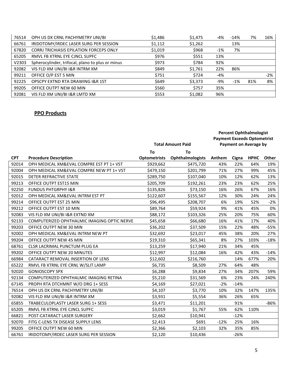| 76514 | OPH US DX CRNL PACHYMETRY UNI/BI                 | \$1,486 | \$1,475 | -4% | $-14%$ | 7%  | 16% |
|-------|--------------------------------------------------|---------|---------|-----|--------|-----|-----|
| 66761 | IRIDOTOMY/IRDEC LASER SURG PER SESSION           | \$1,112 | \$1,262 |     | 13%    |     |     |
| 67820 | <b>CORRJ TRICHIASIS EPILATION FORCEPS ONLY</b>   | \$1,019 | \$968   | -1% | 7%     |     |     |
| 65205 | RMVL FB XTRNL EYE CJNCL SUPFC                    | \$976   | \$551   | 13% |        |     |     |
| V2303 | Spherocylinder, trifocal, plano to plus or minus | \$973   | \$784   | 92% |        |     |     |
| 92082 | VIS FLD XM UNI/BI I&R INTRM XM                   | \$849   | \$1,761 | 22% | 86%    |     |     |
| 99211 | OFFICE O/P EST 5 MIN                             | \$751   | \$724   | -4% |        |     | -2% |
| 92225 | <b>OPSCPY EXTND RTA DRAWING I&amp;R 1ST</b>      | \$649   | \$3,373 | -9% | $-1\%$ | 81% | 8%  |
| 99205 | OFFICE OUTPT NEW 60 MIN                          | \$560   | \$757   | 35% |        |     |     |
| 92081 | VIS FLD XM UNI/BI I&R LMTD XM                    | \$553   | \$1,082 | 96% |        |     |     |

# **PPO Products**

|            |                                             | <b>Total Amount Paid</b> |                         | <b>Payment Exceeds Optometrist</b> | <b>Percent Ophthalmologist</b><br><b>Payment on Average by</b> |             |        |
|------------|---------------------------------------------|--------------------------|-------------------------|------------------------------------|----------------------------------------------------------------|-------------|--------|
|            |                                             | To                       | To                      |                                    |                                                                |             |        |
| <b>CPT</b> | <b>Procedure Description</b>                | <b>Optometrists</b>      | <b>Ophthalmologists</b> | Anthem                             | Cigna                                                          | <b>HPHC</b> | Other  |
| 92014      | OPH MEDICAL XM&EVAL COMPRE EST PT 1+ VST    | \$929,662                | \$475,720               | 43%                                | 22%                                                            | 64%         | 19%    |
| 92004      | OPH MEDICAL XM&EVAL COMPRE NEW PT 1+ VST    | \$479,150                | \$201,799               | 71%                                | 27%                                                            | 99%         | 45%    |
| 92015      | DETER REFRACTIVE STATE                      | \$289,750                | \$107,040               | 10%                                | 12%                                                            | 62%         | 13%    |
| 99213      | OFFICE OUTPT EST15 MIN                      | \$205,709                | \$192,261               | 23%                                | 23%                                                            | 62%         | 25%    |
| 92250      | <b>FUNDUS PHTGRPHY I&amp;R</b>              | \$135,826                | \$73,150                | 16%                                | 26%                                                            | 67%         | 16%    |
| 92012      | OPH MEDICAL XM&EVAL INTRM EST PT            | \$122,607                | \$155,567               | 12%                                | 30%                                                            | 24%         | 24%    |
| 99214      | OFFICE OUTPT EST 25 MIN                     | \$96,495                 | \$208,707               | 6%                                 | 19%                                                            | 52%         | $-2%$  |
| 99212      | OFFICE OUTPT EST 10 MIN                     | \$89,764                 | \$59,924                | 9%                                 | 41%                                                            | 45%         | 0%     |
| 92083      | VIS FLD XM UNI/BI I&R EXTND XM              | \$88,172                 | \$103,326               | 25%                                | 20%                                                            | 75%         | 60%    |
| 92133      | COMPUTERIZED OPHTHALMIC IMAGING OPTIC NERVE | \$45,658                 | \$66,680                | 16%                                | 41%                                                            | 17%         | 40%    |
| 99203      | OFFICE OUTPT NEW 30 MIN                     | \$36,202                 | \$37,509                | 15%                                | 22%                                                            | 48%         | $-55%$ |
| 92002      | OPH MEDICAL XM&EVAL INTRM NEW PT            | \$32,692                 | \$23,017                | 45%                                | 38%                                                            | 20%         | 27%    |
| 99204      | OFFICE OUTPT NEW 45 MIN                     | \$19,310                 | \$65,341                | 8%                                 | 27%                                                            | 103%        | $-18%$ |
| 68761      | CLSR LACRIMAL PUNCTUM PLUG EA               | \$13,259                 | \$17,940                | 21%                                | 34%                                                            | 45%         |        |
| 99202      | OFFICE OUTPT NEW 20 MINUTES                 | \$12,997                 | \$12,084                | 16%                                | 42%                                                            | 43%         | $-14%$ |
| 66984      | CATARACT REMOVAL INSERTION OF LENS          | \$12,602                 | \$216,760               |                                    | 14%                                                            | 677%        | 20%    |
| 65222      | RMVL FB XTRNL EYE CRNL W/SLIT LAMP          | \$6,735                  | \$8,509                 | 27%                                | 64%                                                            | 48%         |        |
| 92020      | <b>GONIOSCOPY SPX</b>                       | \$6,288                  | \$9,834                 | 27%                                | 34%                                                            | 207%        | 59%    |
| 92134      | COMPUTERIZED OPHTHALMIC IMAGING RETINA      | \$5,210                  | \$31,569                | 6%                                 | 23%                                                            | 24%         | 240%   |
| 67145      | PROPH RTA DTCHMNT W/O DRG 1+ SESS           | \$4,169                  | \$27,021                | $-2%$                              | $-14%$                                                         |             |        |
| 76514      | OPH US DX CRNL PACHYMETRY UNI/BI            | \$4,107                  | \$3,770                 | 10%                                | 32%                                                            | 147%        | 135%   |
| 92082      | VIS FLD XM UNI/BI I&R INTRM XM              | \$3,931                  | \$5,554                 | 36%                                | 26%                                                            | 65%         |        |
| 65855      | TRABECULOPLASTY LASER SURG 1+ SESS          | \$3,471                  | \$11,201                |                                    | 91%                                                            |             | -86%   |
| 65205      | RMVL FB XTRNL EYE CJNCL SUPFC               | \$3,019                  | \$1,767                 | 55%                                | 62%                                                            | 110%        |        |
| 66821      | POST-CATARACT LASER SURGERY                 | \$2,662                  | \$10,941                |                                    | $-12%$                                                         |             |        |
| 92070      | FITG C-LENS TX DISEASE SUPPLY LENS          | \$2,413                  | \$691                   | $-12%$                             | 25%                                                            | 16%         |        |
| 99205      | OFFICE OUTPT NEW 60 MIN                     | \$2,366                  | \$2,103                 | 32%                                | 35%                                                            | 85%         |        |
| 66761      | IRIDOTOMY/IRDEC LASER SURG PER SESSION      | \$2,120                  | \$10,436                |                                    | $-26%$                                                         |             |        |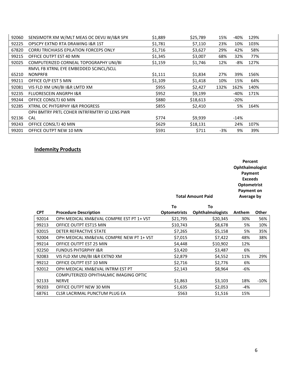| 92060 | SENSIMOTR XM W/MLT MEAS OC DEVIJ W/I&R SPX     | \$1,889 | \$25,789 | 15%  | -40%   | 129% |  |
|-------|------------------------------------------------|---------|----------|------|--------|------|--|
| 92225 | OPSCPY EXTND RTA DRAWING I&R 1ST               | \$1,781 | \$7,110  | 23%  | 10%    | 103% |  |
| 67820 | <b>CORRI TRICHIASIS EPILATION FORCEPS ONLY</b> | \$1,716 | \$3,627  | 29%  | 42%    | 58%  |  |
| 99215 | OFFICE OUTPT EST 40 MIN                        | \$1,345 | \$3,007  | 68%  | 32%    | 77%  |  |
| 92025 | COMPUTERIZED CORNEAL TOPOGRAPHY UNI/BI         | \$1,159 | \$1,746  | 12%  | -8%    | 127% |  |
|       | RMVL FB XTRNL EYE EMBEDDED SCJNCL/SCLL         |         |          |      |        |      |  |
| 65210 | NONPRF8                                        | \$1,111 | \$1,834  | 27%  | 39%    | 156% |  |
| 99211 | OFFICE O/P EST 5 MIN                           | \$1,109 | \$1,418  | 10%  | 15%    | 64%  |  |
| 92081 | VIS FLD XM UNI/BI I&R LMTD XM                  | \$955   | \$2,427  | 132% | 162%   | 140% |  |
| 92235 | <b>FLUORESCEIN ANGRPH I&amp;R</b>              | \$952   | \$9,199  |      | $-40%$ | 171% |  |
| 99244 | OFFICE CONSLTJ 60 MIN                          | \$880   | \$18,613 |      | $-20%$ |      |  |
| 92285 | <b>XTRNL OC PHTGRPHY I&amp;R PROGRESS</b>      | \$855   | \$2,410  |      | 5%     | 164% |  |
|       | OPH BMTRY PRTL COHER INTRFRMTRY IO LENS PWR    |         |          |      |        |      |  |
| 92136 | <b>CAL</b>                                     | \$774   | \$9,939  |      | $-14%$ |      |  |
| 99243 | OFFICE CONSLTJ 40 MIN                          | \$629   | \$18,131 |      | 24%    | 107% |  |
| 99201 | OFFICE OUTPT NEW 10 MIN                        | \$591   | \$711    | -3%  | 9%     | 39%  |  |

# **Indemnity Products**

| Percent            |
|--------------------|
| Ophthalmologist    |
| Payment            |
| <b>Exceeds</b>     |
| <b>Optometrist</b> |
| Payment on         |
| Average by         |
|                    |

|            |                                          | To                  | To                      |        |        |
|------------|------------------------------------------|---------------------|-------------------------|--------|--------|
| <b>CPT</b> | <b>Procedure Description</b>             | <b>Optometrists</b> | <b>Ophthalmologists</b> | Anthem | Other  |
| 92014      | OPH MEDICAL XM&EVAL COMPRE EST PT 1+ VST | \$21,795            | \$20,345                | 30%    | 56%    |
| 99213      | OFFICE OUTPT EST15 MIN                   | \$10,743            | \$8,678                 | 5%     | 10%    |
| 92015      | DETER REFRACTIVE STATE                   | \$7,265             | \$5,158                 | 5%     | 35%    |
| 92004      | OPH MEDICAL XM&EVAL COMPRE NEW PT 1+ VST | \$7,015             | \$7,422                 | 48%    | 38%    |
| 99214      | OFFICE OUTPT EST 25 MIN                  | \$4,448             | \$10,902                | 12%    |        |
| 92250      | <b>FUNDUS PHTGRPHY I&amp;R</b>           | \$3,420             | \$3,487                 | 6%     |        |
| 92083      | VIS FLD XM UNI/BI I&R EXTND XM           | \$2,879             | \$4,552                 | 11%    | 29%    |
| 99212      | OFFICE OUTPT EST 10 MIN                  | \$2,716             | \$2,776                 | 6%     |        |
| 92012      | OPH MEDICAL XM&EVAL INTRM EST PT         | \$2,143             | \$8,964                 | -6%    |        |
|            | COMPUTERIZED OPHTHALMIC IMAGING OPTIC    |                     |                         |        |        |
| 92133      | <b>NERVE</b>                             | \$1,863             | \$3,103                 | 18%    | $-10%$ |
| 99203      | OFFICE OUTPT NEW 30 MIN                  | \$1,635             | \$2,053                 | -4%    |        |
| 68761      | CLSR LACRIMAL PUNCTUM PLUG EA            | \$563               | \$1,516                 | 15%    |        |